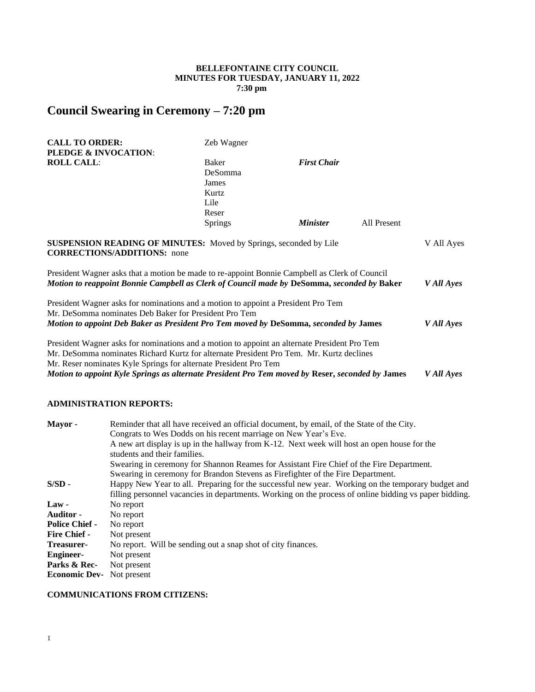# **BELLEFONTAINE CITY COUNCIL MINUTES FOR TUESDAY, JANUARY 11, 2022 7:30 pm**

# **Council Swearing in Ceremony – 7:20 pm**

| <b>CALL TO ORDER:</b>                                                                                                                                                                                                                                       | Zeb Wagner                                 |                        |             |            |
|-------------------------------------------------------------------------------------------------------------------------------------------------------------------------------------------------------------------------------------------------------------|--------------------------------------------|------------------------|-------------|------------|
| PLEDGE & INVOCATION:                                                                                                                                                                                                                                        |                                            |                        |             |            |
| <b>ROLL CALL:</b>                                                                                                                                                                                                                                           | Baker<br>DeSomma<br>James<br>Kurtz<br>Lile | <b>First Chair</b>     |             |            |
|                                                                                                                                                                                                                                                             | Reser                                      |                        |             |            |
|                                                                                                                                                                                                                                                             | Springs                                    | <i><b>Minister</b></i> | All Present |            |
| <b>SUSPENSION READING OF MINUTES:</b> Moved by Springs, seconded by Lile<br><b>CORRECTIONS/ADDITIONS:</b> none<br>President Wagner asks that a motion be made to re-appoint Bonnie Campbell as Clerk of Council                                             |                                            |                        |             | V All Ayes |
| Motion to reappoint Bonnie Campbell as Clerk of Council made by DeSomma, seconded by Baker                                                                                                                                                                  |                                            |                        |             | V All Ayes |
| President Wagner asks for nominations and a motion to appoint a President Pro Tem<br>Mr. DeSomma nominates Deb Baker for President Pro Tem<br>Motion to appoint Deb Baker as President Pro Tem moved by DeSomma, seconded by James                          |                                            |                        |             | V All Ayes |
| President Wagner asks for nominations and a motion to appoint an alternate President Pro Tem<br>Mr. DeSomma nominates Richard Kurtz for alternate President Pro Tem. Mr. Kurtz declines<br>Mr. Reser nominates Kyle Springs for alternate President Pro Tem |                                            |                        |             |            |
| Motion to appoint Kyle Springs as alternate President Pro Tem moved by Reser, seconded by James                                                                                                                                                             |                                            |                        |             | V All Ayes |

# **ADMINISTRATION REPORTS:**

| Mayor -               | Reminder that all have received an official document, by email, of the State of the City.              |  |  |
|-----------------------|--------------------------------------------------------------------------------------------------------|--|--|
|                       | Congrats to Wes Dodds on his recent marriage on New Year's Eve.                                        |  |  |
|                       | A new art display is up in the hallway from K-12. Next week will host an open house for the            |  |  |
|                       | students and their families.                                                                           |  |  |
|                       | Swearing in ceremony for Shannon Reames for Assistant Fire Chief of the Fire Department.               |  |  |
|                       | Swearing in ceremony for Brandon Stevens as Firefighter of the Fire Department.                        |  |  |
| $S/SD -$              | Happy New Year to all. Preparing for the successful new year. Working on the temporary budget and      |  |  |
|                       | filling personnel vacancies in departments. Working on the process of online bidding vs paper bidding. |  |  |
| $Law -$               | No report                                                                                              |  |  |
| <b>Auditor -</b>      | No report                                                                                              |  |  |
| <b>Police Chief -</b> | No report                                                                                              |  |  |
| <b>Fire Chief -</b>   | Not present                                                                                            |  |  |
| Treasurer-            | No report. Will be sending out a snap shot of city finances.                                           |  |  |
| <b>Engineer-</b>      | Not present                                                                                            |  |  |
| Parks & Rec-          | Not present                                                                                            |  |  |
| <b>Economic Dev-</b>  | Not present                                                                                            |  |  |
|                       |                                                                                                        |  |  |

### **COMMUNICATIONS FROM CITIZENS:**